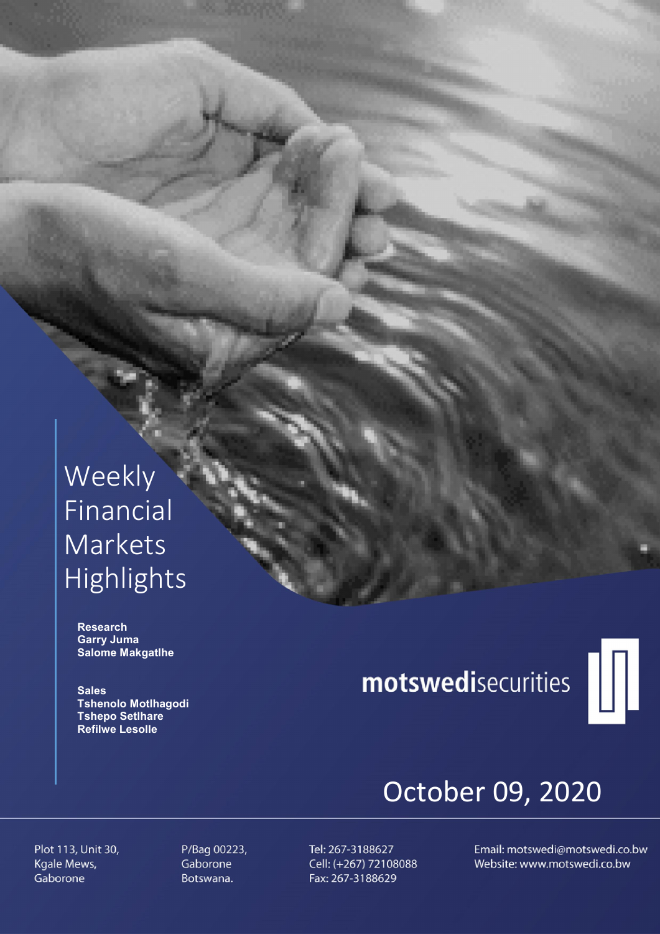# Weekly Financial Markets Highlights

 Research Garry Juma Salome Makgatlhe

**Sales**  Tshenolo Motlhagodi Tshepo Setlhare Refilwe Lesolle

# motswedisecurities



# October 09, 2020

Plot 113, Unit 30, Kgale Mews, Gaborone

P/Bag 00223, Gaborone Botswana.

Tel: 267-3188627 Cell: (+267) 72108088 Fax: 267-3188629

Email: motswedi@motswedi.co.bw Website: www.motswedi.co.bw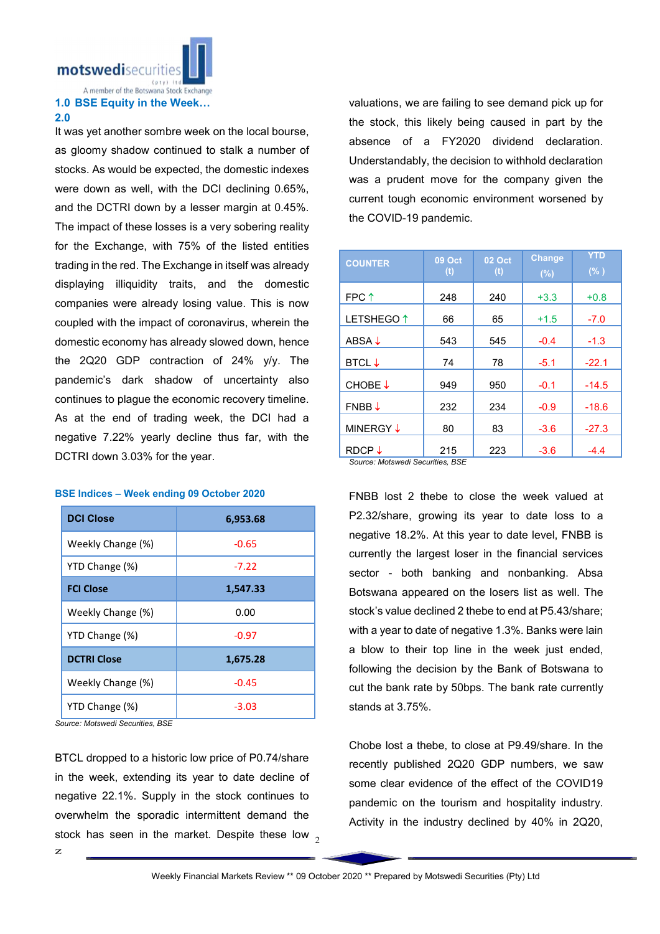motswedisecurities

#### A member of the Botswana Stock Exchange 1.0 BSE Equity in the Week…

#### 2.0

It was yet another sombre week on the local bourse, as gloomy shadow continued to stalk a number of stocks. As would be expected, the domestic indexes were down as well, with the DCI declining 0.65%, and the DCTRI down by a lesser margin at 0.45%. The impact of these losses is a very sobering reality for the Exchange, with 75% of the listed entities trading in the red. The Exchange in itself was already displaying illiquidity traits, and the domestic companies were already losing value. This is now coupled with the impact of coronavirus, wherein the domestic economy has already slowed down, hence the 2Q20 GDP contraction of 24% y/y. The pandemic's dark shadow of uncertainty also continues to plague the economic recovery timeline. As at the end of trading week, the DCI had a negative 7.22% yearly decline thus far, with the DCTRI down 3.03% for the year.

#### BSE Indices – Week ending 09 October 2020

| <b>DCI Close</b>   | 6,953.68 |
|--------------------|----------|
| Weekly Change (%)  | $-0.65$  |
| YTD Change (%)     | $-7.22$  |
| <b>FCI Close</b>   | 1,547.33 |
| Weekly Change (%)  | 0.00     |
| YTD Change (%)     | $-0.97$  |
| <b>DCTRI Close</b> | 1,675.28 |
| Weekly Change (%)  | $-0.45$  |
| YTD Change (%)     | $-3.03$  |

*Source: Motswedi Securities, BSE*

stock has seen in the market. Despite these low  $_2$ BTCL dropped to a historic low price of P0.74/share in the week, extending its year to date decline of negative 22.1%. Supply in the stock continues to overwhelm the sporadic intermittent demand the

valuations, we are failing to see demand pick up for the stock, this likely being caused in part by the absence of a FY2020 dividend declaration. Understandably, the decision to withhold declaration was a prudent move for the company given the current tough economic environment worsened by the COVID-19 pandemic.

| <b>COUNTER</b>                                       | <b>09 Oct</b><br>(t) | <b>02 Oct</b><br>(t) | <b>Change</b><br>(%) | <b>YTD</b><br>(% ) |
|------------------------------------------------------|----------------------|----------------------|----------------------|--------------------|
| FPC <sup>†</sup>                                     | 248                  | 240                  | $+3.3$               | $+0.8$             |
| LETSHEGO <sup>1</sup>                                | 66                   | 65                   | $+1.5$               | $-7.0$             |
| ABSA $\downarrow$                                    | 543                  | 545                  | $-0.4$               | $-1.3$             |
| <b>BTCL↓</b>                                         | 74                   | 78                   | $-5.1$               | $-22.1$            |
| CHOBE↓                                               | 949                  | 950                  | $-0.1$               | $-14.5$            |
| $FNBB \downarrow$                                    | 232                  | 234                  | $-0.9$               | $-18.6$            |
| <b>MINERGY ↓</b>                                     | 80                   | 83                   | $-3.6$               | $-27.3$            |
| RDCP $\downarrow$<br>Course: Motowodi Coourition DCE | 215                  | 223                  | $-3.6$               | $-4.4$             |

*Source: Motswedi Securities, BSE* 

FNBB lost 2 thebe to close the week valued at P2.32/share, growing its year to date loss to a negative 18.2%. At this year to date level, FNBB is currently the largest loser in the financial services sector - both banking and nonbanking. Absa Botswana appeared on the losers list as well. The stock's value declined 2 thebe to end at P5.43/share; with a year to date of negative 1.3%. Banks were lain a blow to their top line in the week just ended, following the decision by the Bank of Botswana to cut the bank rate by 50bps. The bank rate currently stands at 3.75%.

Chobe lost a thebe, to close at P9.49/share. In the recently published 2Q20 GDP numbers, we saw some clear evidence of the effect of the COVID19 pandemic on the tourism and hospitality industry. Activity in the industry declined by 40% in 2Q20,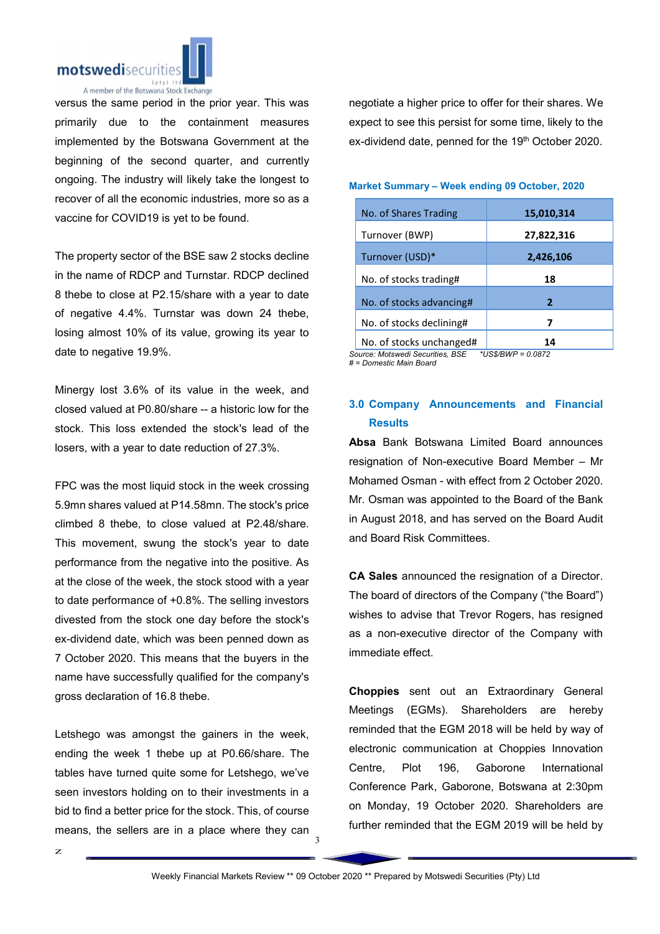

versus the same period in the prior year. This was primarily due to the containment measures implemented by the Botswana Government at the beginning of the second quarter, and currently ongoing. The industry will likely take the longest to recover of all the economic industries, more so as a vaccine for COVID19 is yet to be found.

The property sector of the BSE saw 2 stocks decline in the name of RDCP and Turnstar. RDCP declined 8 thebe to close at P2.15/share with a year to date of negative 4.4%. Turnstar was down 24 thebe, losing almost 10% of its value, growing its year to date to negative 19.9%.

Minergy lost 3.6% of its value in the week, and closed valued at P0.80/share -- a historic low for the stock. This loss extended the stock's lead of the losers, with a year to date reduction of 27.3%.

FPC was the most liquid stock in the week crossing 5.9mn shares valued at P14.58mn. The stock's price climbed 8 thebe, to close valued at P2.48/share. This movement, swung the stock's year to date performance from the negative into the positive. As at the close of the week, the stock stood with a year to date performance of +0.8%. The selling investors divested from the stock one day before the stock's ex-dividend date, which was been penned down as 7 October 2020. This means that the buyers in the name have successfully qualified for the company's gross declaration of 16.8 thebe.

Letshego was amongst the gainers in the week, ending the week 1 thebe up at P0.66/share. The tables have turned quite some for Letshego, we've seen investors holding on to their investments in a bid to find a better price for the stock. This, of course means, the sellers are in a place where they can

negotiate a higher price to offer for their shares. We expect to see this persist for some time, likely to the ex-dividend date, penned for the 19th October 2020.

#### Market Summary – Week ending 09 October, 2020

| No. of Shares Trading    | 15,010,314 |
|--------------------------|------------|
| Turnover (BWP)           | 27,822,316 |
| Turnover (USD)*          | 2,426,106  |
| No. of stocks trading#   | 18         |
| No. of stocks advancing# | 2          |
| No. of stocks declining# | 7          |
| No. of stocks unchanged# | 14         |

*Source: Motswedi Securities, BSE \*US\$/BWP = 0.0872 # = Domestic Main Board*

## 3.0 Company Announcements and Financial **Results**

Absa Bank Botswana Limited Board announces resignation of Non-executive Board Member – Mr Mohamed Osman - with effect from 2 October 2020. Mr. Osman was appointed to the Board of the Bank in August 2018, and has served on the Board Audit and Board Risk Committees.

CA Sales announced the resignation of a Director. The board of directors of the Company ("the Board") wishes to advise that Trevor Rogers, has resigned as a non-executive director of the Company with immediate effect.

Choppies sent out an Extraordinary General Meetings (EGMs). Shareholders are hereby reminded that the EGM 2018 will be held by way of electronic communication at Choppies Innovation Centre, Plot 196, Gaborone International Conference Park, Gaborone, Botswana at 2:30pm on Monday, 19 October 2020. Shareholders are further reminded that the EGM 2019 will be held by

3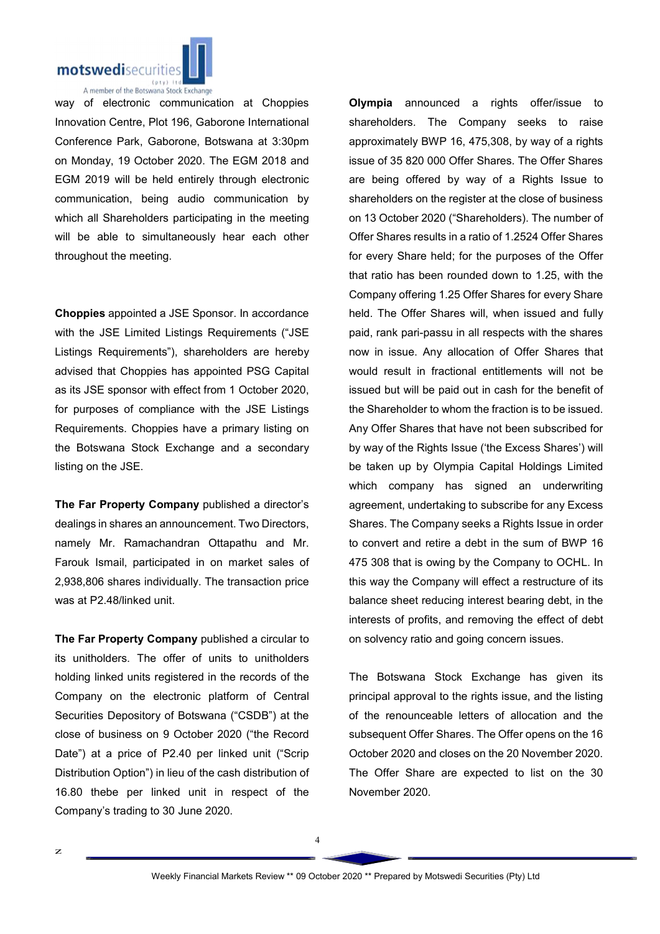

way of electronic communication at Choppies Innovation Centre, Plot 196, Gaborone International Conference Park, Gaborone, Botswana at 3:30pm on Monday, 19 October 2020. The EGM 2018 and EGM 2019 will be held entirely through electronic communication, being audio communication by which all Shareholders participating in the meeting will be able to simultaneously hear each other throughout the meeting.

Choppies appointed a JSE Sponsor. In accordance with the JSE Limited Listings Requirements ("JSE Listings Requirements"), shareholders are hereby advised that Choppies has appointed PSG Capital as its JSE sponsor with effect from 1 October 2020, for purposes of compliance with the JSE Listings Requirements. Choppies have a primary listing on the Botswana Stock Exchange and a secondary listing on the JSE.

The Far Property Company published a director's dealings in shares an announcement. Two Directors, namely Mr. Ramachandran Ottapathu and Mr. Farouk Ismail, participated in on market sales of 2,938,806 shares individually. The transaction price was at P2.48/linked unit.

The Far Property Company published a circular to its unitholders. The offer of units to unitholders holding linked units registered in the records of the Company on the electronic platform of Central Securities Depository of Botswana ("CSDB") at the close of business on 9 October 2020 ("the Record Date") at a price of P2.40 per linked unit ("Scrip Distribution Option") in lieu of the cash distribution of 16.80 thebe per linked unit in respect of the Company's trading to 30 June 2020.

Olympia announced a rights offer/issue to shareholders. The Company seeks to raise approximately BWP 16, 475,308, by way of a rights issue of 35 820 000 Offer Shares. The Offer Shares are being offered by way of a Rights Issue to shareholders on the register at the close of business on 13 October 2020 ("Shareholders). The number of Offer Shares results in a ratio of 1.2524 Offer Shares for every Share held; for the purposes of the Offer that ratio has been rounded down to 1.25, with the Company offering 1.25 Offer Shares for every Share held. The Offer Shares will, when issued and fully paid, rank pari-passu in all respects with the shares now in issue. Any allocation of Offer Shares that would result in fractional entitlements will not be issued but will be paid out in cash for the benefit of the Shareholder to whom the fraction is to be issued. Any Offer Shares that have not been subscribed for by way of the Rights Issue ('the Excess Shares') will be taken up by Olympia Capital Holdings Limited which company has signed an underwriting agreement, undertaking to subscribe for any Excess Shares. The Company seeks a Rights Issue in order to convert and retire a debt in the sum of BWP 16 475 308 that is owing by the Company to OCHL. In this way the Company will effect a restructure of its balance sheet reducing interest bearing debt, in the interests of profits, and removing the effect of debt on solvency ratio and going concern issues.

The Botswana Stock Exchange has given its principal approval to the rights issue, and the listing of the renounceable letters of allocation and the subsequent Offer Shares. The Offer opens on the 16 October 2020 and closes on the 20 November 2020. The Offer Share are expected to list on the 30 November 2020.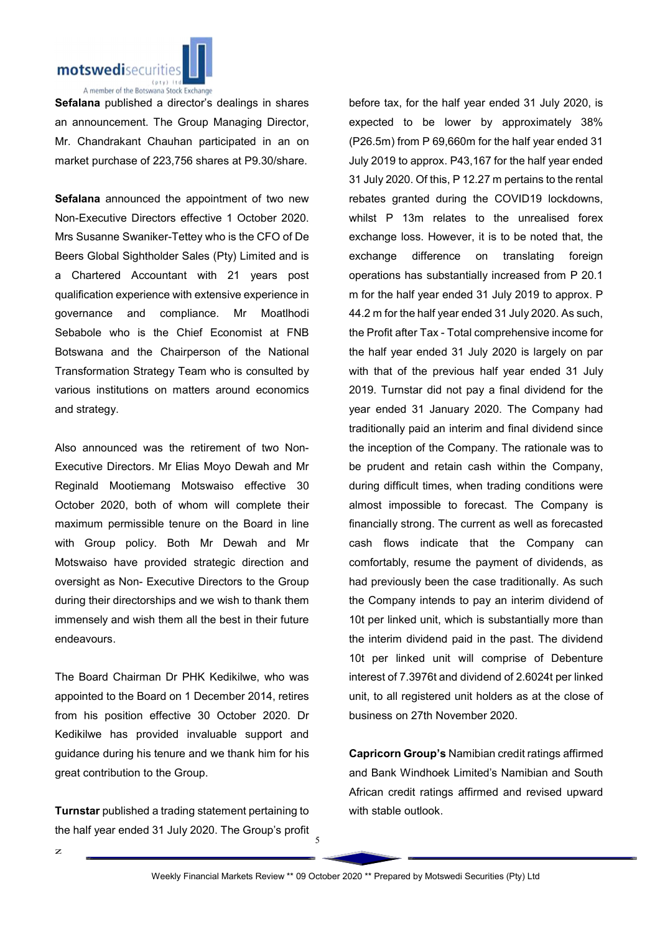

Sefalana published a director's dealings in shares an announcement. The Group Managing Director, Mr. Chandrakant Chauhan participated in an on market purchase of 223,756 shares at P9.30/share.

Sefalana announced the appointment of two new Non-Executive Directors effective 1 October 2020. Mrs Susanne Swaniker-Tettey who is the CFO of De Beers Global Sightholder Sales (Pty) Limited and is a Chartered Accountant with 21 years post qualification experience with extensive experience in governance and compliance. Mr Moatlhodi Sebabole who is the Chief Economist at FNB Botswana and the Chairperson of the National Transformation Strategy Team who is consulted by various institutions on matters around economics and strategy.

Also announced was the retirement of two Non-Executive Directors. Mr Elias Moyo Dewah and Mr Reginald Mootiemang Motswaiso effective 30 October 2020, both of whom will complete their maximum permissible tenure on the Board in line with Group policy. Both Mr Dewah and Mr Motswaiso have provided strategic direction and oversight as Non- Executive Directors to the Group during their directorships and we wish to thank them immensely and wish them all the best in their future endeavours.

The Board Chairman Dr PHK Kedikilwe, who was appointed to the Board on 1 December 2014, retires from his position effective 30 October 2020. Dr Kedikilwe has provided invaluable support and guidance during his tenure and we thank him for his great contribution to the Group.

Turnstar published a trading statement pertaining to the half year ended 31 July 2020. The Group's profit

before tax, for the half year ended 31 July 2020, is expected to be lower by approximately 38% (P26.5m) from P 69,660m for the half year ended 31 July 2019 to approx. P43,167 for the half year ended 31 July 2020. Of this, P 12.27 m pertains to the rental rebates granted during the COVID19 lockdowns, whilst P 13m relates to the unrealised forex exchange loss. However, it is to be noted that, the exchange difference on translating foreign operations has substantially increased from P 20.1 m for the half year ended 31 July 2019 to approx. P 44.2 m for the half year ended 31 July 2020. As such, the Profit after Tax - Total comprehensive income for the half year ended 31 July 2020 is largely on par with that of the previous half year ended 31 July 2019. Turnstar did not pay a final dividend for the year ended 31 January 2020. The Company had traditionally paid an interim and final dividend since the inception of the Company. The rationale was to be prudent and retain cash within the Company, during difficult times, when trading conditions were almost impossible to forecast. The Company is financially strong. The current as well as forecasted cash flows indicate that the Company can comfortably, resume the payment of dividends, as had previously been the case traditionally. As such the Company intends to pay an interim dividend of 10t per linked unit, which is substantially more than the interim dividend paid in the past. The dividend 10t per linked unit will comprise of Debenture interest of 7.3976t and dividend of 2.6024t per linked unit, to all registered unit holders as at the close of business on 27th November 2020.

Capricorn Group's Namibian credit ratings affirmed and Bank Windhoek Limited's Namibian and South African credit ratings affirmed and revised upward with stable outlook.

5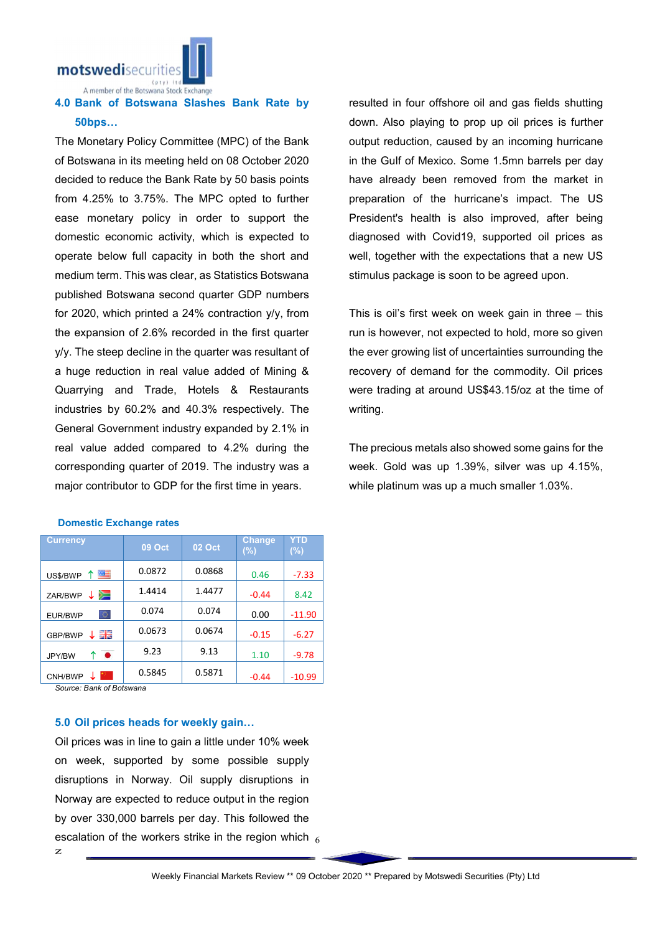motswedisecurit

A member of the Botswana Stock Exchange

## 4.0 Bank of Botswana Slashes Bank Rate by 50bps…

The Monetary Policy Committee (MPC) of the Bank of Botswana in its meeting held on 08 October 2020 decided to reduce the Bank Rate by 50 basis points from 4.25% to 3.75%. The MPC opted to further ease monetary policy in order to support the domestic economic activity, which is expected to operate below full capacity in both the short and medium term. This was clear, as Statistics Botswana published Botswana second quarter GDP numbers for 2020, which printed a 24% contraction y/y, from the expansion of 2.6% recorded in the first quarter y/y. The steep decline in the quarter was resultant of a huge reduction in real value added of Mining & Quarrying and Trade, Hotels & Restaurants industries by 60.2% and 40.3% respectively. The General Government industry expanded by 2.1% in real value added compared to 4.2% during the corresponding quarter of 2019. The industry was a major contributor to GDP for the first time in years.

| <b>Currency</b>          | <b>09 Oct</b> | 02 Oct | <b>Change</b><br>$(\%)$ | YTD<br>$(\%)$ |
|--------------------------|---------------|--------|-------------------------|---------------|
| 四目<br>US\$/BWP<br>Υ.     | 0.0872        | 0.0868 | 0.46                    | $-7.33$       |
| ↓ ≶⊟<br>ZAR/BWP          | 1.4414        | 1.4477 | $-0.44$                 | 8.42          |
| ю<br>EUR/BWP             | 0.074         | 0.074  | 0.00                    | $-11.90$      |
| 꾉똟<br>GBP/BWP            | 0.0673        | 0.0674 | $-0.15$                 | $-6.27$       |
| $\bullet$<br>↑<br>JPY/BW | 9.23          | 9.13   | 1.10                    | $-9.78$       |
| CNH/BWP                  | 0.5845        | 0.5871 | $-0.44$                 | $-10.99$      |

#### Domestic Exchange rates

*Source: Bank of Botswana*

### 5.0 Oil prices heads for weekly gain…

escalation of the workers strike in the region which  $_{\rm 6}$ Oil prices was in line to gain a little under 10% week on week, supported by some possible supply disruptions in Norway. Oil supply disruptions in Norway are expected to reduce output in the region by over 330,000 barrels per day. This followed the

resulted in four offshore oil and gas fields shutting down. Also playing to prop up oil prices is further output reduction, caused by an incoming hurricane in the Gulf of Mexico. Some 1.5mn barrels per day have already been removed from the market in preparation of the hurricane's impact. The US President's health is also improved, after being diagnosed with Covid19, supported oil prices as well, together with the expectations that a new US stimulus package is soon to be agreed upon.

This is oil's first week on week gain in three – this run is however, not expected to hold, more so given the ever growing list of uncertainties surrounding the recovery of demand for the commodity. Oil prices were trading at around US\$43.15/oz at the time of writing.

The precious metals also showed some gains for the week. Gold was up 1.39%, silver was up 4.15%, while platinum was up a much smaller 1.03%.